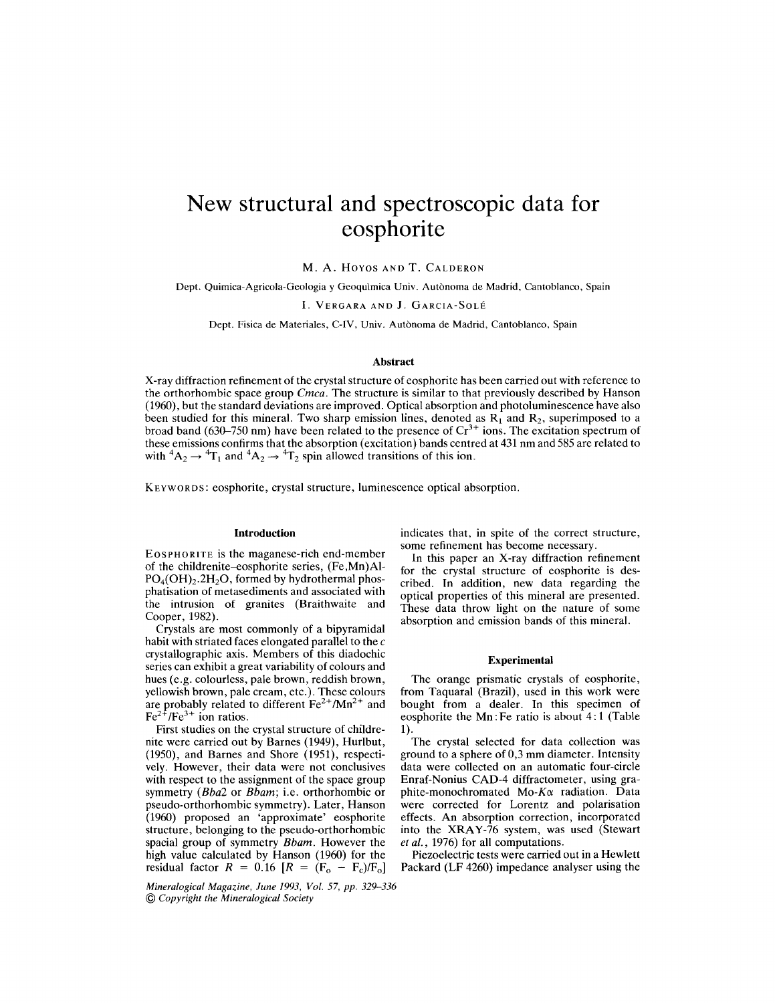# **New structural and spectroscopic data for eosphorite**

M. A. Hoyos AND T. CALDERON

Dept. Quimica-Agricola-Gcologia y Gcoqulmica Univ. Autonoma de Madrid, Cantoblanco, Spain

I. VERGARA AND J. GARCIA-SOLE

Dept. Fisica de Materiales, C-IV, Univ. Autònoma de Madrid, Cantoblanco, Spain

#### **Abstract**

X-ray diffraction refinement of the crystal structure of eosphorite has been carried out with reference to the orthorhombic space group *Cmca.* The structure is similar to that previously described by Hanson (1960), but the standard deviations are improved. Optical absorption and photoluminescence have also been studied for this mineral. Two sharp emission lines, denoted as  $R_1$  and  $R_2$ , superimposed to a broad band (630–750 nm) have been related to the presence of  $Cr<sup>3+</sup>$  ions. The excitation spectrum of these emissions confirms that the absorption (excitation) bands centred at 431 nm and 585 are related to with  ${}^4A_2 \rightarrow {}^4T_1$  and  ${}^4A_2 \rightarrow {}^4T_2$  spin allowed transitions of this ion.

KEYWORDS: eosphorite, crystal structure, luminescence optical absorption.

#### **Introduction**

EOSPHORITE is the maganese-rich end-member of the childrenite-eosphorite series, (Fe,Mn)Al- $PO<sub>4</sub>(OH)<sub>2</sub>$ .2H<sub>2</sub>O, formed by hydrothermal phosphatisation of metasediments and associated with the intrusion of granites (Braithwaite and Cooper, 1982).

Crystals are most commonly of a bipyramidal habit with striated faces elongated parallel to the  $c$ crystallographic axis. Members of this diadochic series can exhibit a great variability of colours and hues (e.g. colourless, pale brown, reddish brown, yellowish brown, pale cream, etc.). These colours are probably related to different Fe2+*IMn2+* and Fe2+*IFe3+* ion ratios.

First studies on the crystal structure of childrenite were carried out by Barnes (1949), Hurlbut, (1950), and Barnes and Shore (1951), respectively. However, their data were not conclusives with respect to the assignment of the space group symmetry *(Bba2* or *Bbam;* i.e. orthorhombic or pseudo-orthorhombic symmetry). Later, Hanson (1960) proposed an 'approximate' eosphorite structure, belonging to the pseudo-orthorhombic spacial group of symmetry *Bbam.* However the high value calculated by Hanson (1960) for the residual factor  $R = 0.16$   $[R = (\text{F}_o - \text{F}_c)/\text{F}_o]$ 

*Mineralogical Magazine, June* 1993, *Vol.* 57, *pp. 329-336* @ *Copyright the Mineralogical Society*

indicates that, in spite of the correct structure, some refinement has become necessary.

In this paper an X-ray diffraction refinement for the crystal structure of eosphorite is described. In addition, new data regarding the optical properties of this mineral are presented. These data throw light on the nature of some absorption and emission bands of this mineral.

### **Experimental**

The orange prismatic crystals of eosphorite, from Taquaral (Brazil), used in this work were bought from a dealer. In this specimen of eosphorite the Mn: Fe ratio is about 4: 1 (Table 1).

The crystal selected for data collection was ground to a sphere of 0,3 mm diameter. Intensity data were collected on an automatic four-circle Enraf-Nonius CAD-4 diffractometer, using graphite-monochromated *Mo-Kex* radiation. Data were corrected for Lorentz and polarisation effects. An absorption correction, incorporated into the XRAY-76 system, was used (Stewart *et ai.,* 1976) for all computations.

Piezoelectric tests were carried out in a Hewlett Packard (LF 4260) impedance analyser using the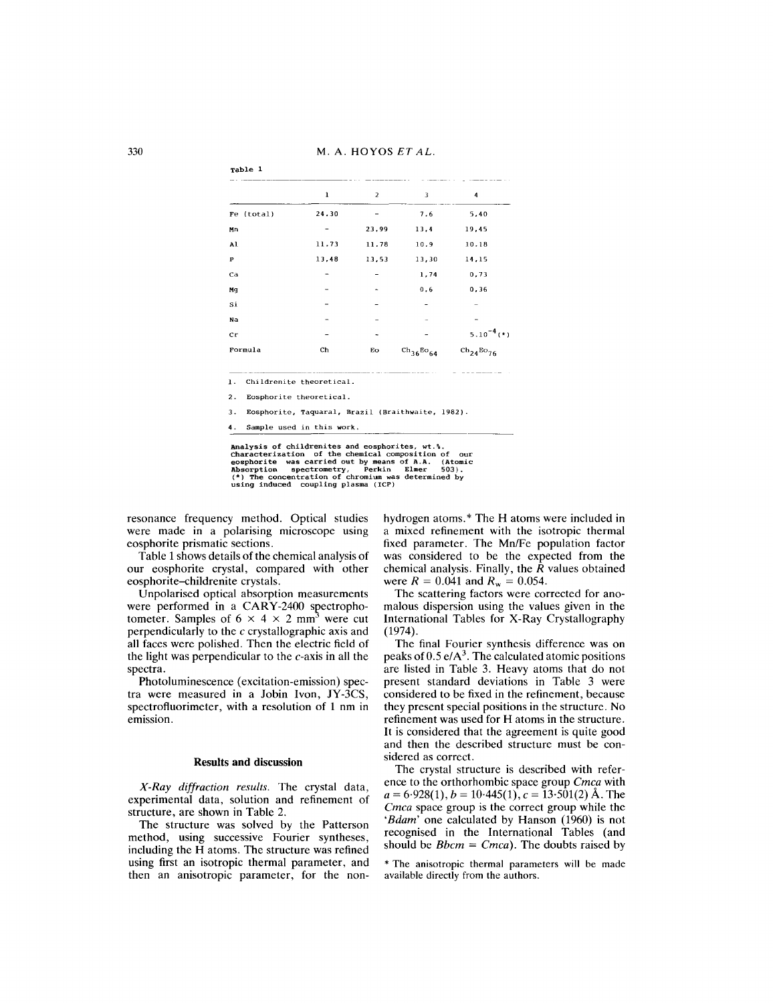M. A. HOYOS *ET AL.*

|              | ı                        | $\overline{a}$ | 3                | 4                              |
|--------------|--------------------------|----------------|------------------|--------------------------------|
| Fe (total)   | 24.30                    |                | 7.6              | 5,40                           |
| Мn           |                          | 23.99          | 13.4             | 19,45                          |
| Al           | 11.73                    | 11.78          | 10.9             | 10.18                          |
| $\mathbf{P}$ | 13,48                    | 13,53          | 13,30            | 14,15                          |
| Ca           |                          |                | 1,74             | 0,73                           |
| Mq           |                          |                | 0.6              | 0.36                           |
| Si           |                          |                |                  |                                |
| Na           |                          |                |                  |                                |
| cr           |                          |                |                  | $5.10^{-4}$ (*)                |
| Formula      | Ch                       | Eo             | $ch_{36}Bo_{64}$ | $\text{ch}_{24}\text{Bo}_{76}$ |
| 1.           | Childrenite theoretical. |                |                  |                                |
| 2.           | Eosphorite theoretical.  |                |                  |                                |

4. Sample used in this work.

Analysis of childrenites and eosphorites, wt.%.<br>Characterization of the chemical composition of our<br>eosphorite was carried out by means of A.A. (Atomic<br>Absorption spectrometry, Perkin Elmer 503).<br>(\*) The concentration of c

resonance frequency method. Optical studies were made in a polarising microscope using eosphorite prismatic sections.

Table 1 shows details of the chemical analysis of our eosphorite crystal, compared with other eosphorite-childrenite crystals.

Unpolarised optical absorption measurements were performed in a  $CARY-2400$  spectrophotometer. Samples of  $6 \times 4 \times 2$  mm<sup>3</sup> were cut perpendicularly to the  $c$  crystallographic axis and all faces were polished. Then the electric field of the light was perpendicular to the  $c$ -axis in all the spectra.

Photoluminescence (excitation-emission) spectra were measured in a Jobin Ivon, JY-3CS, spectrofluorimeter, with a resolution of 1 nm in emission.

#### Results and discussion

*X-Ray diffraction results.* The crystal data, experimental data, solution and refinement of structure, are shown in Table 2.

The structure was solved by the Patterson method, using successive Fourier syntheses, including the H atoms. The structure was refined using first an isotropic thermal parameter, and then an anisotropic parameter, for the nonhydrogen atoms. \* The H atoms were included in a mixed refinement with the isotropic thermal fixed parameter. The Mn/Fe population factor was considered to be the expected from the chemical analysis. Finally, the  $\hat{R}$  values obtained were  $R = 0.041$  and  $R_w = 0.054$ .

The scattering factors were corrected for anomalous dispersion using the values given in the International Tables for X-Ray Crystallography (1974).

The final Fourier synthesis difference was on peaks of  $0.5 e/A<sup>3</sup>$ . The calculated atomic positions are listed in Table 3. Heavy atoms that do not present standard deviations in Table 3 were considered to be fixed in the refinement, because they present special positions in the structure. No refinement was used for H atoms in the structure. It is considered that the agreement is quite good and then the described structure must be considered as correct.

The crystal structure is described with reference to the orthorhombic space group *Cmca* with  $a = 6.928(1), b = 10.445(1), c = 13.501(2)$  Å. The *Cmca* space group is the correct group while the *'Bdam'* one calculated by Hanson (1960) is not recognised in the International Tables (and should be *Bbcm* = *Cmca).* The doubts raised by

\* The anisotropic thermal parameters will be made available directly from the authors.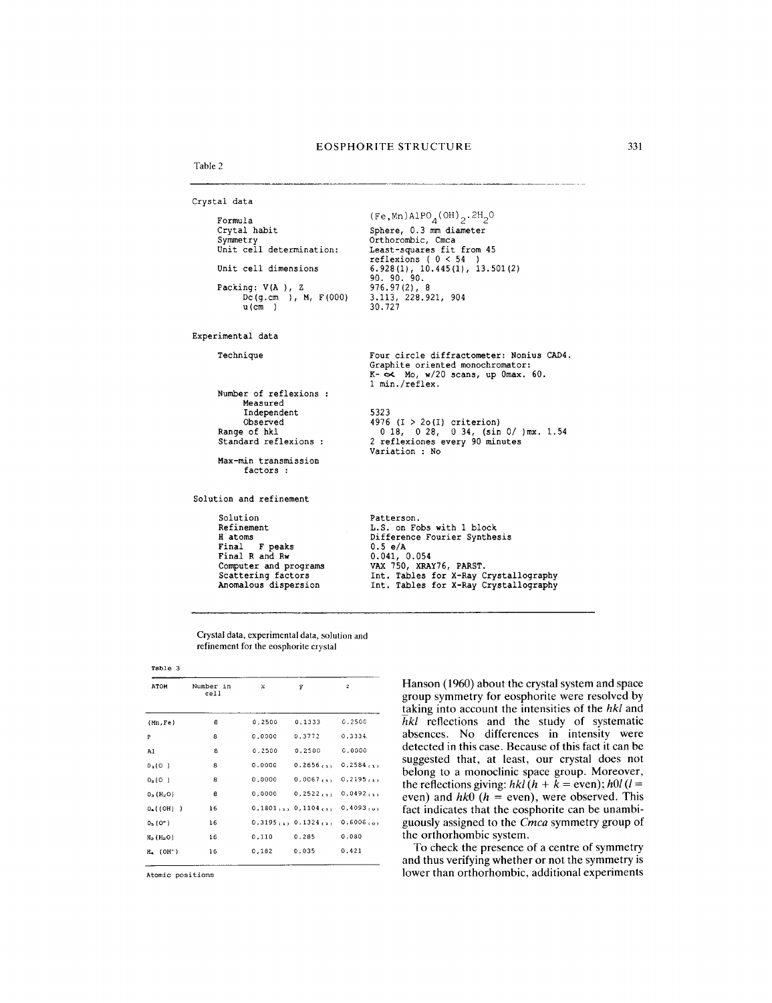1 min./reflex.

Variation : No

5323

```
Table 2
```

```
Crystal data
      Formula
      Crytal habit
      Symmetry
Unit cell determination:
      Unit cell dimensions
      Packing: V(A ), Z
            Dc(g.cm ), M, F(OOO)
            u(cm )(Fe, Mn)A1PO<sub>A</sub>(OH)<sub>2</sub>.2H<sub>2</sub>OSphere, 0.3 mm diameter
                                            Orthorombic, Cmca
                                            Least-squares fit from 45
                                            reflexions (
0 < 54 )
6.928(1), 10.445(1), 13.501(2)
                                            90. 90. 90.
                                            976.97(2), 8
                                            3.113, 228.921, 904
30.727
```
Experimental data

Technique

Number of reflexions Measured Independent

Observed Range of hkl Standard reflexions

Max-min transmission factors :

Solution and refinement

Solution Refinement H atoms Final F peaks Final R and Rw Computer and programs Scattering factors Anomalous dispersion

Patterson. L.S. on Fobs with 1 block Difference Fourier Synthesis

Four circle diffractometer: Nonius CAD4. Graphite oriented monochromator: K- 0< Mo, w/20 scans, up Omax. 60.

4976 (I > 20(1) criterion) o 18, 0 28, 0 34, (sin 0/ )mx. 1.54 2 reflexiones every 90 minutes

 $0.5 e/A$ 0.041, 0.054 VAX 750, XRAY76 , PARST. int. Tables for X-Ray Crystallogr<br>Int. Tables for X-Ray Crystallogr

Crystal data, experimental data, solution and refinement for the eosphorite crystal

| Table 3                             |                   |        |                                 |                          |  |
|-------------------------------------|-------------------|--------|---------------------------------|--------------------------|--|
| <b>ATOM</b>                         | Number in<br>cell | x      | y                               | $\mathbf{z}$             |  |
| (Mn, Fe)                            | 8                 | 0.2500 | 0.1333                          | 0.2500                   |  |
| P                                   | 8                 | 0.0000 | 0.3772                          | 0, 3334.                 |  |
| Al                                  | 8                 | 0,2500 | 0,2500                          | 0,0000                   |  |
| 0, (0)                              | 8                 | 0.0000 | $0,2656$ <sub>(2)</sub>         | $0,2584$ <sub>(1)</sub>  |  |
| $O_2(0)$                            | 8                 | 0.0000 | $0,0067$ <sub>(1)</sub>         | $0, 2195$ <sub>(1)</sub> |  |
| $0_3$ (H <sub>2</sub> O)            | 8                 | 0,0000 | 0,2522                          | $0,0492$ <sub>(1)</sub>  |  |
| $O_{\bullet}$ ((OH))                | 16                |        | $0,1801$ $(1)$ $0,1104$ $(1)$   | $0,4093, \ldots$         |  |
| $05$ (0 <sup><math>=</math></sup> ) | 16                |        | $0.3195_{(1)}$ , $0.1324_{(3)}$ | $0.6006$ <sub>co</sub>   |  |
| $H_2$ ( $H_2O$ )                    | 16                | 0,110  | 0.285                           | 0.080                    |  |
| $H_2$ (OH <sup>-</sup> )            | 16                | 0.182  | 0.035                           | 0,421                    |  |

Atomic positions

Hanson (1960) about the crystal system and space group symmetry for eosphorite were resolved by taking into account the intensities of the *hkl* and *hkl* reflections and the study of systematic absences. No differences in intensity were detected in this case. Because of this fact it can be suggested that, at least, our crystal does not belong to a monoclinic space group. Moreover, the reflections giving:  $hkl(h + \bar{k} = \text{even})$ ;  $h0l(l =$ even) and *hkO (h* = even), were observed. This fact indicates that the eosphorite can be unambiguously assigned to the *Cmca* symmetry group of the orthorhombic system.

To check the presence of a centre of symmetry and thus verifying whether or not the symmetry is lower than orthorhombic, additional experiments

~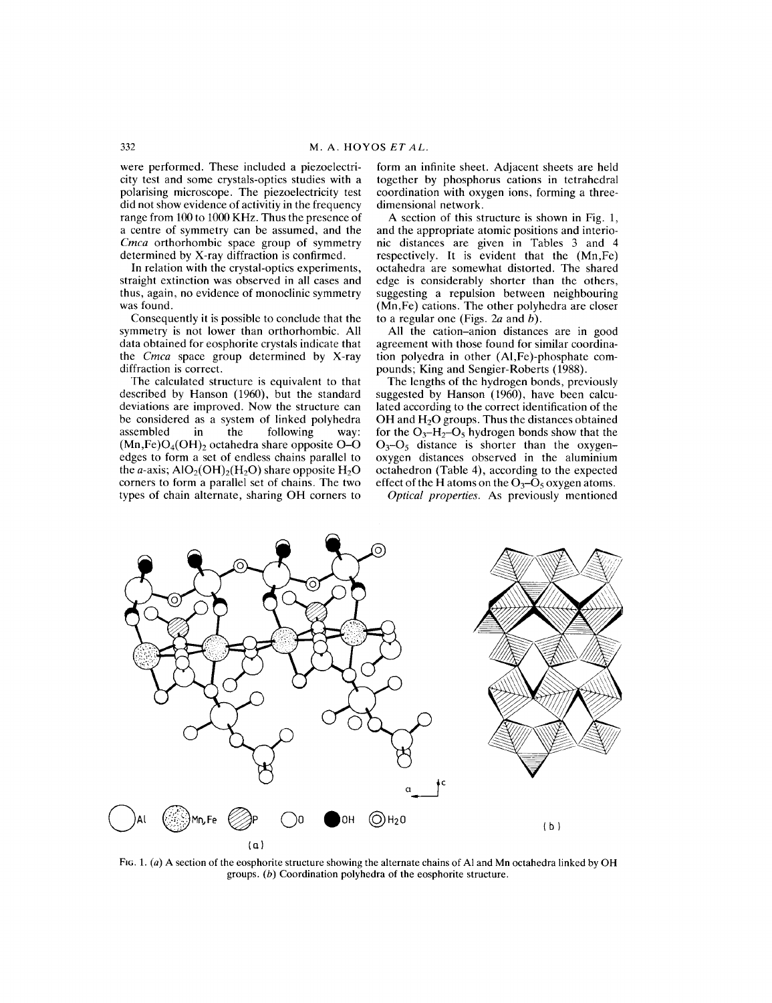were performed. These included a piezoelectricity test and some crystals-optics studies with a polarising microscope. The piezoelectricity test did not show evidence of activitiy in the frequency range from 100 to 1000 KHz. Thus the presence of a centre of symmetry can be assumed, and the *Cmca* orthorhombic space group of symmetry determined by X-ray diffraction is confirmed.

In relation with the crystal-optics experiments, straight extinction was observed in all cases and thus, again, no evidence of monoclinic symmetry was found.

Consequently it is possible to conclude that the symmetry is not lower than orthorhombic. All data obtained for eosphorite crystals indicate that the Cmca space group determined by X-ray diffraction is correct.

The calculated structure is equivalent to that described by Hanson (1960), but the standard deviations are improved. Now the structure can be considered as a system of linked polyhedra<br>assembled in the following way: in the following way:  $(Mn,Fe)O<sub>4</sub>(OH)<sub>2</sub> octahedra share opposite O-O$ edges to form a set of endless chains parallel to the *a*-axis;  $AIO<sub>2</sub>(OH)<sub>2</sub>(H<sub>2</sub>O)$  share opposite  $H<sub>2</sub>O$ corners to form a parallel set of chains. The two types of chain alternate, sharing OH corners to

form an infinite sheet. Adjacent sheets are held together by phosphorus cations in tetrahedral coordination with oxygen ions, forming a threedimensional network.

A section of this structure is shown in Fig. 1, and the appropriate atomic positions and interionic distances are given in Tables 3 and 4 respectively. It is evident that the (Mn,Fe) octahedra are somewhat distorted. The shared edge is considerably shorter than the others, suggesting a repulsion between neighbouring (Mn,Fe) cations. The other polyhedra are closer to a regular one (Figs. *2a* and *b).*

All the cation-anion distances are in good agreement with those found for similar coordination polyedra in other (AI,Fe)-phosphate compounds; King and Sengier-Roberts (1988).

The lengths of the hydrogen bonds, previously suggested by Hanson (1960), have been calculated according to the correct identification of the OH and  $H_2O$  groups. Thus the distances obtained for the  $O_3$ -H<sub>2</sub>-O<sub>5</sub> hydrogen bonds show that the  $O_3-O_5$  distance is shorter than the oxygenoxygen distances observed in the aluminium octahedron (Table 4), according to the expected effect of the H atoms on the  $O_3 - O_5$  oxygen atoms.

*Optical properties.* As previously mentioned



FIG. 1. *(a)* A section of the eosphorite structure showing the alternate chains of Al and Mn octahedra linked by OH groups. *(b)* Coordination polyhedra of the eosphorite structure.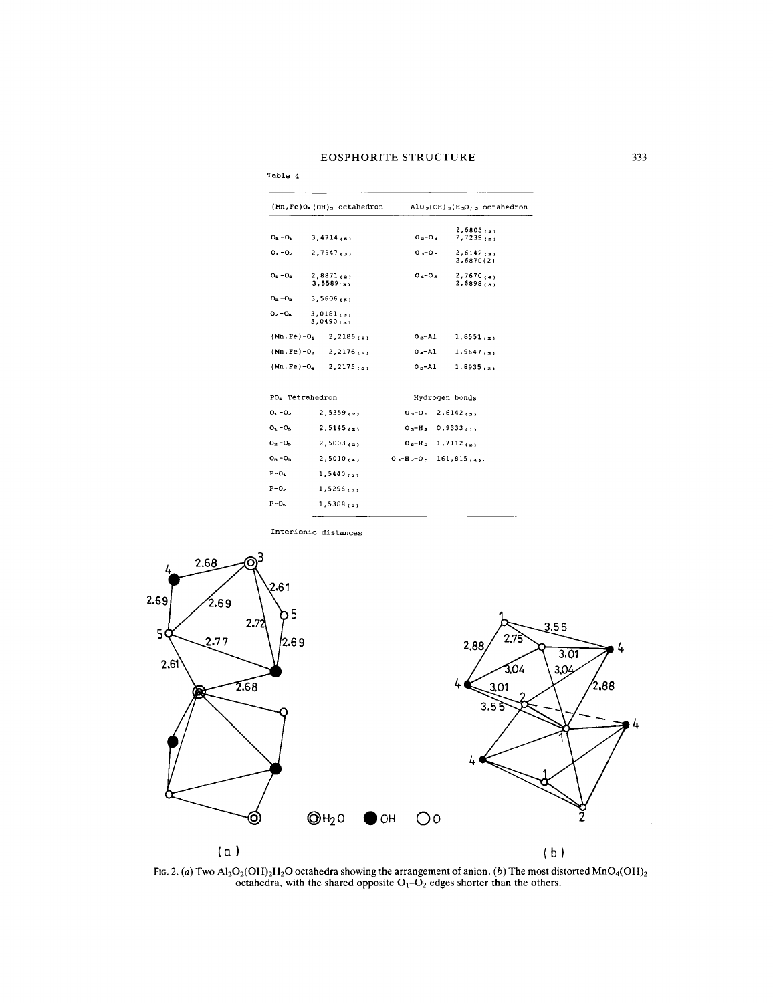## EOSPHORITE STRUCTURE 333

|                 | $(Mn, Fe)$ <sup>0</sup> . $(OH)_2$ octahedron      |                                   | $AIO2(OH)2(H2O)2 octahedron$              |
|-----------------|----------------------------------------------------|-----------------------------------|-------------------------------------------|
| $O_1 - O_2$     | $3,4714$ <sub>(a)</sub>                            | $0 - 0 -$                         | 2,6803(2)<br>$2,7239$ <sub>(3)</sub>      |
| $0 - 0.5$       | $2,7547$ <sub>(3)</sub>                            | $0 - 0.5$                         | $2,6142$ <sub>(3)</sub><br>2,6870(2)      |
| $O_1 - O_2$     | $2,8871$ <sub>(2)</sub><br>$3,5589$ <sub>(3)</sub> | $0 - 0.5$                         | $2,7670$ $(4)$<br>$2,6898$ <sub>(3)</sub> |
| $O_{2} - O_{2}$ | $3,5606$ <sub>(a)</sub>                            |                                   |                                           |
| $O_2 - O_4$     | $3,0181$ <sub>(3)</sub><br>$3,0490$ <sub>(3)</sub> |                                   |                                           |
|                 | $(Mn, Fe) - 01$ 2, 2186 (2)                        | $0a - A1$                         | $1,8551$ <sub>(2)</sub>                   |
|                 | $(Mn, Fe) - 02$ 2, 2176 (2)                        | $0 - \lambda 1$                   | $1,9647$ <sub>(2)</sub>                   |
|                 | $(Mn, Fe) - 0$ , 2,2175 (s)                        | $0s-Al$                           | $1,8935$ <sub>(2)</sub>                   |
|                 | PO. Tetrahedron                                    |                                   | Hydrogen bonds                            |
| $O_1 - O_2$     | $2,5359$ <sub>(2)</sub>                            | $03 - 05 = 2,6142$ <sub>(3)</sub> |                                           |
| $O_1 - O_5$     | $2,5145$ <sub>(2)</sub>                            | $0a-H_2$ 0,9333 (1)               |                                           |
| $0_{2} - 0_{5}$ | $2,5003$ <sub>(2)</sub>                            | $05-H2$ 1, 7112 (2)               |                                           |
| $O_B - O_B$     | $2,5010$ (a)                                       | $0a - H_2 - 0$ , 161,815,         |                                           |
| $P - O_1$       | $1,5440$ <sub>(1)</sub>                            |                                   |                                           |
| $P - O_2$       | 1,5296,11                                          |                                   |                                           |
| $P - O_m$       | $1,5388$ <sub>(2)</sub>                            |                                   |                                           |

Interionic distances

Table 4



FIG. 2. *(a)* Two Al<sub>2</sub>O<sub>2</sub>(OH)<sub>2</sub>H<sub>2</sub>O octahedra showing the arrangement of anion. *(b)* The most distorted MnO<sub>4</sub>(OI) octahedra, with the shared opposite  $O_1-O_2$  edges shorter than the other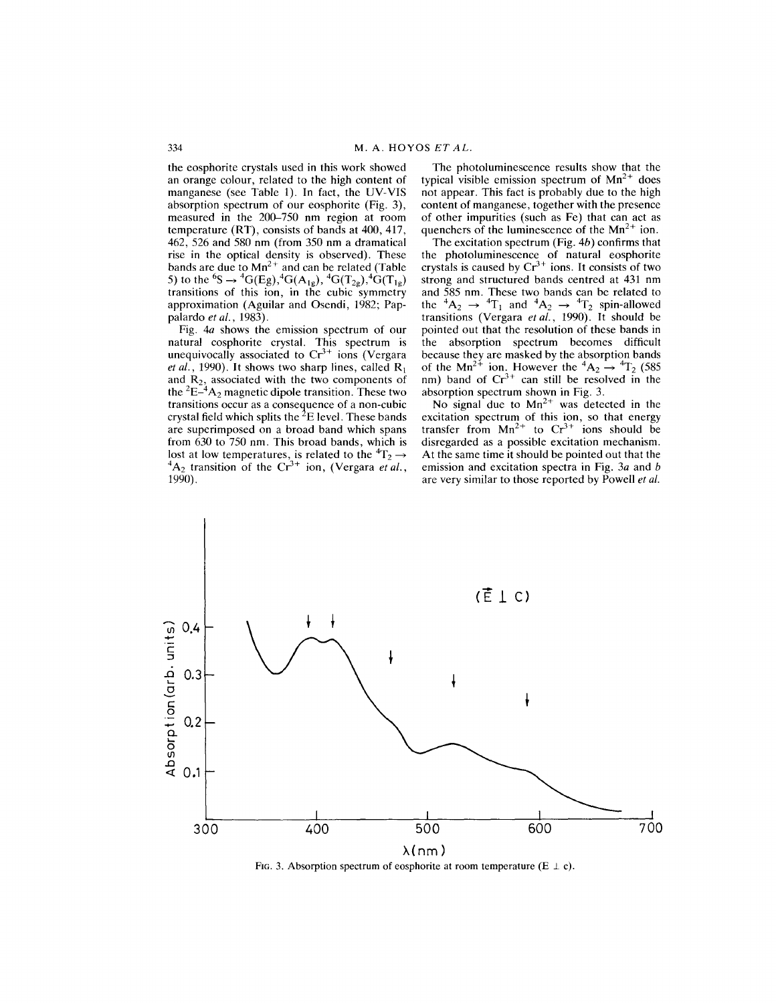the eosphorite crystals used in this work showed an orange colour, related to the high content of manganese (see Table 1). In fact, the UV-VIS absorption spectrum of our eosphorite (Fig. 3), measured in the 200–750 nm region at room temperature (RT), consists of bands at 400, 417, 462, 526 and 580 nm (from 350 nm a dramatical rise in the optical density is observed). These bands are due to  $Mn^{2+}$  and can be related (Table 5) to the <sup>6</sup>S  $\rightarrow$  <sup>4</sup>G(Eg),<sup>4</sup>G(A<sub>1g</sub>), <sup>4</sup>G(T<sub>2g</sub>),<sup>4</sup>G(T<sub>1g</sub>) transitions of this ion, in the cubic symmetry approximation (Aguilar and Osendi, 1982; Pappalardo *et al., 1983).*

Fig. *4a* shows the emission spectrum of our natural cosphorite crystal. This spectrum is unequivocally associated to  $Cr^{3+}$  ions (Vergar *et al.,* 1990). It shows two sharp lines, called Rj and  $R_2$ , associated with the two components of the  ${}^{2}E-{}^{4}A_{2}$  magnetic dipole transition. These two transitions occur as a consequence of a non-cubic crystal field which splits the  ${}^{2}E$  level. These bands are superimposed on a broad band which spans from 630 to 750 nm. This broad bands, which is lost at low temperatures, is related to the  ${}^4T_2 \rightarrow$  ${}^{4}A_{2}$  transition of the Cr<sup>3+</sup> ion, (Vergara *et al.*) 1990).

The photoluminescence results show that the typical visible emission spectrum of  $Mn^{2+}$  does not appear. This fact is probably due to the high content of manganese, together with the presence of other impurities (such as Fe) that can act as quenchers of the luminescence of the  $Mn^{2+}$  ion.

The excitation spectrum (Fig. *4b)* confirms that the photoluminescence of natural eosphorit crystals is caused by  $Cr^{3+}$  ions. It consists of two strong and structured bands centred at 431 nm and 585 nm. These two bands can be related to<br>the  ${}^{4}A_{2} \rightarrow {}^{4}T_{1}$  and  ${}^{4}A_{2} \rightarrow {}^{4}T_{2}$  spin-allowed transitions (Vergara *et al.,* 1990). It should be pointed out that the resolution of these bands in the absorption spectrum becomes difficult because they are masked by the absorption bands of the Mn<sup>2+</sup> ion. However the  ${}^{4}A_2 \rightarrow {}^{4}T_2$  (585 nm) band of  $Cr^{3+}$  can still be resolved in the absorption spectrum shown in Fig. 3.

No signal due to  $Mn^{2+}$  was detected in the excitation spectrum of this ion, so that energy transfer from  $Mn^{2+}$  to  $Cr^{3+}$  ions should be disregarded as a possible excitation mechanism. At the same time it should be pointed out that the emission and excitation spectra in Fig. *3a* and *b* are very similar to those reported by Powell *et al.*



Fig. 3. Absorption spectrum of eosphorite at room temperature  $(E \perp c)$ .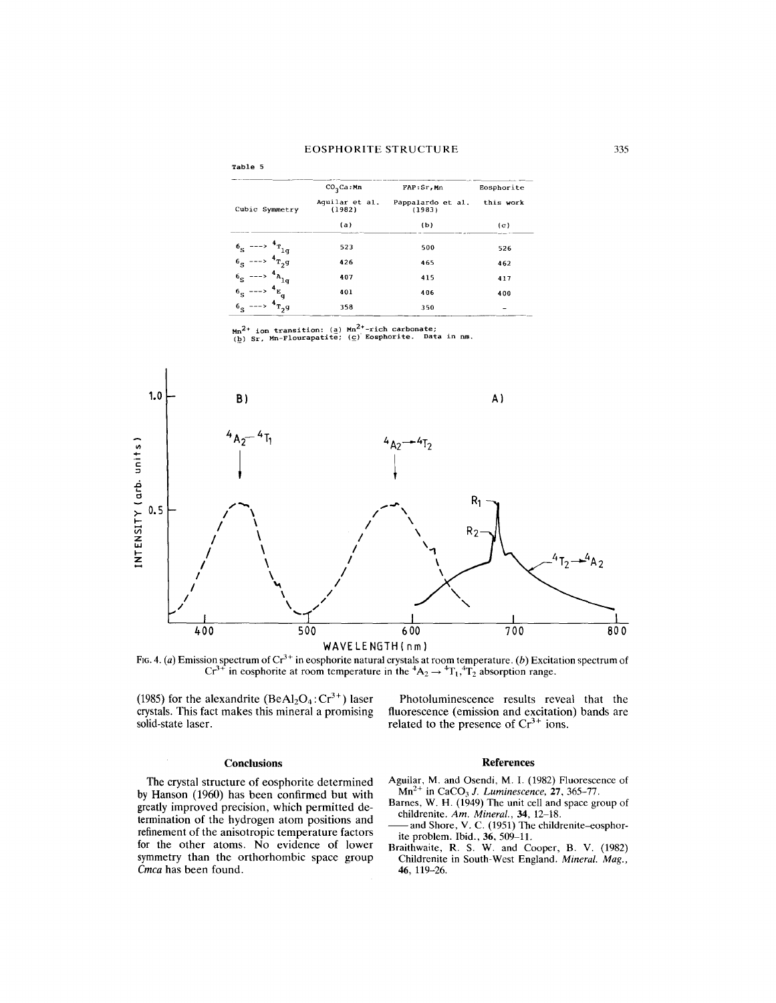| Table 5                   |                          |                             |            |
|---------------------------|--------------------------|-----------------------------|------------|
|                           | $CO_2$ Ca: Mn            | FAP:Sr, Mn                  | Eosphorite |
| Cubic Symmetry            | Aguilar et al.<br>(1982) | Pappalardo et al.<br>(1983) | this work  |
|                           | (a)                      | (b)                         | (c)        |
| $65 \leftarrow 10$        | 523                      | 500                         | 526        |
| $6_S$ ---> $4_{T_2}g$     | 426                      | 465                         | 462        |
| $A_{A_{1g}}$<br>$6S$ ---> | 407                      | 415                         | 417        |
| 4E<br>$6S$ --->           | 401                      | 406                         | 400        |
| $4_{T, g}$<br>$6g$ --->   | 358                      | 350                         |            |

Mn<sup>2+</sup> ion transition: (a) Mn<sup>2+</sup>-rich carbonate;<br>(b) Sr, Mn-Flourapatite; (c) Eosphorite. Data in nm



FIG. 4. (a) Emission spectrum of Cr<sup>3+</sup> in eosphorite natural crystals at room temperature. (b) Excitation spectrum of Cr<sup>3+</sup> in eosphorite at room temperature in the <sup>4</sup>A<sub>2</sub>  $\rightarrow$  <sup>4</sup>T<sub>1</sub>,4T<sub>2</sub> absorption range.

(1985) for the alexandrite  $(BeAl<sub>2</sub>O<sub>4</sub>: Cr<sup>3+</sup>)$  laser crystals. This fact makes this mineral a promising solid-state laser.

fluorescence (emission and excitation) bands are related to the presence of  $Cr^{3+}$  ions.

#### **Conclusions**

The crystal structure of eosphorite determined by Hanson (1960) has been confirmed but with greatly improved precision, which permitted determination of the hydrogen atom positions and refinement of the anisotropic temperature factors for the other atoms. No evidence of lower symmetry than the orthorhombic space group *Cmea* has been found.

#### References

Photoluminescence results reveal that the

- Aguilar, M. and Osendi, M. I. (1982) Fluorescence of Mn2+ in CaC03 *J. Luminescence,* 27, 365-77.
- Barnes, W. H. (1949) The unit cell and space group of childrenite. *Am. Mineral.,* 34, 12-18.
- -and Shore, V. C. (1951) The childrenite-eosphorite problem. Ibid., 36, 509-11.
- Braithwaite, R. S. W. and Cooper, B. V. (1982) Childrenite in South-West England. *Mineral. Mag.,* 46, 119-26.